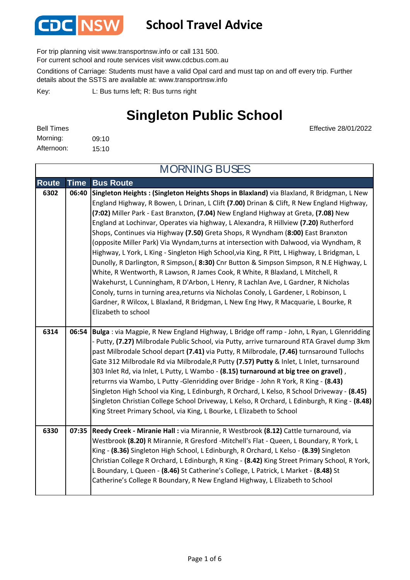

For trip planning visit www.transportnsw.info or call 131 500.

For current school and route services visit www.cdcbus.com.au

Conditions of Carriage: Students must have a valid Opal card and must tap on and off every trip. Further details about the SSTS are available at: www.transportnsw.info

L: Bus turns left; R: Bus turns right Key:

### **Singleton Public School**

Effective 28/01/2022

| <b>Bell Times</b> |       |
|-------------------|-------|
| Morning:          | 09:10 |
| Afternoon:        | 15:10 |

**Route Time Bus Route 6302 06:40 Singleton Heights : (Singleton Heights Shops in Blaxland)** via Blaxland, R Bridgman, L New England Highway, R Bowen, L Drinan, L Clift **(7.00)** Drinan & Clift, R New England Highway, **(7:02)** Miller Park - East Branxton, **(7.04)** New England Highway at Greta, **(7.08)** New England at Lochinvar, Operates via highway, L Alexandra, R Hillview **(7.20)** Rutherford Shops, Continues via Highway **(7.50)** Greta Shops, R Wyndham (**8:00)** East Branxton (opposite Miller Park) Via Wyndam,turns at intersection with Dalwood, via Wyndham, R Highway, L York, L King - Singleton High School,via King, R Pitt, L Highway, L Bridgman, L Dunolly, R Darlington, R Simpson,( **8:30)** Cnr Button & Simpson Simpson, R N.E Highway, L White, R Wentworth, R Lawson, R James Cook, R White, R Blaxland, L Mitchell, R Wakehurst, L Cunningham, R D'Arbon, L Henry, R Lachlan Ave, L Gardner, R Nicholas Conoly, turns in turning area,returns via Nicholas Conoly, L Gardener, L Robinson, L Gardner, R Wilcox, L Blaxland, R Bridgman, L New Eng Hwy, R Macquarie, L Bourke, R Elizabeth to school **6314 06:54 Bulga** : via Magpie, R New England Highway, L Bridge off ramp - John, L Ryan, L Glenridding - Putty, **(7.27)** Milbrodale Public School, via Putty, arrive turnaround RTA Gravel dump 3km past Milbrodale School depart **(7.41)** via Putty, R Milbrodale, **(7.46)** turnsaround Tullochs Gate 312 Milbrodale Rd via Milbrodale,R Putty **(7.57) Putty** & Inlet, L Inlet, turnsaround 303 Inlet Rd, via Inlet, L Putty, L Wambo - **(8.15) turnaround at big tree on gravel)** , returrns via Wambo, L Putty -Glenridding over Bridge - John R York, R King - **(8.43)**  Singleton High School via King, L Edinburgh, R Orchard, L Kelso, R School Driveway - **(8.45)**  Singleton Christian College School Driveway, L Kelso, R Orchard, L Edinburgh, R King - **(8.48)**  King Street Primary School, via King, L Bourke, L Elizabeth to School **6330 07:35 Reedy Creek - Miranie Hall :** via Mirannie, R Westbrook **(8.12)** Cattle turnaround, via Westbrook **(8.20)** R Mirannie, R Gresford -Mitchell's Flat - Queen, L Boundary, R York, L King - **(8.36)** Singleton High School, L Edinburgh, R Orchard, L Kelso - **(8.39)** Singleton Christian College R Orchard, L Edinburgh, R King - **(8.42)** King Street Primary School, R York, L Boundary, L Queen - **(8.46)** St Catherine's College, L Patrick, L Market - **(8.48)** St Catherine's College R Boundary, R New England Highway, L Elizabeth to School MORNING BUSES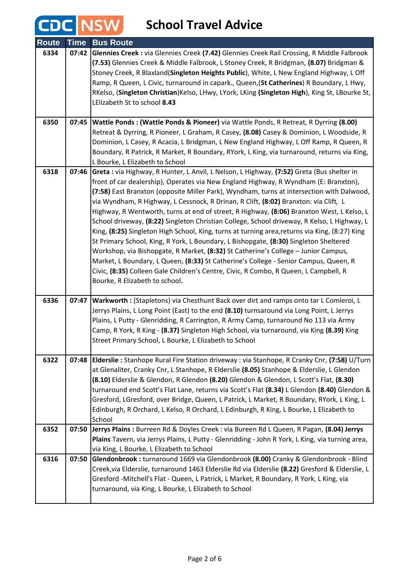CDC NSW

| <b>Route</b> | <b>Time</b> | <b>Bus Route</b>                                                                                                                                                                                                                                                                                                                                                                                                                                                                                                                                                                                                                                                                                                                                                                                                                                                                                                                                                                                                                                                      |
|--------------|-------------|-----------------------------------------------------------------------------------------------------------------------------------------------------------------------------------------------------------------------------------------------------------------------------------------------------------------------------------------------------------------------------------------------------------------------------------------------------------------------------------------------------------------------------------------------------------------------------------------------------------------------------------------------------------------------------------------------------------------------------------------------------------------------------------------------------------------------------------------------------------------------------------------------------------------------------------------------------------------------------------------------------------------------------------------------------------------------|
| 6334         |             | 07:42 Glennies Creek : via Glennies Creek (7.42) Glennies Creek Rail Crossing, R Middle Falbrook<br>(7.53) Glennies Creek & Middle Falbrook, L Stoney Creek, R Bridgman, (8.07) Bridgman &<br>Stoney Creek, R Blaxland(Singleton Heights Public), White, L New England Highway, L Off<br>Ramp, R Queen, L Civic, turnaround in capark., Queen, (St Catherines) R Boundary, L Hwy,<br>RKelso, (Singleton Christian) Kelso, LHwy, LYork, LKing (Singleton High), King St, LBourke St,<br>LElizabeth St to school 8.43                                                                                                                                                                                                                                                                                                                                                                                                                                                                                                                                                   |
| 6350         | 07:45       | Wattle Ponds: (Wattle Ponds & Pioneer) via Wattle Ponds, R Retreat, R Dyrring (8.00)<br>Retreat & Dyrring, R Pioneer, L Graham, R Casey, (8.08) Casey & Dominion, L Woodside, R<br>Dominion, L Casey, R Acacia, L Bridgman, L New England Highway, L Off Ramp, R Queen, R<br>Boundary, R Patrick, R Market, R Boundary, RYork, L King, via turnaround, returns via King,<br>L Bourke, L Elizabeth to School                                                                                                                                                                                                                                                                                                                                                                                                                                                                                                                                                                                                                                                           |
| 6318         | 07:46       | Greta : via Highway, R Hunter, L Anvil, L Nelson, L Highway, (7:52) Greta (Bus shelter in<br>front of car dealership), Operates via New England Highway, R Wyndham (E: Branxton),<br>(7:58) East Branxton (opposite Miller Park), Wyndham, turns at intersection with Dalwood,<br>via Wyndham, R Highway, L Cessnock, R Drinan, R Clift, (8:02) Branxton: via Clift, L<br>Highway, R Wentworth, turns at end of street, R Highway, (8:06) Branxton West, L Kelso, L<br>School driveway, (8:22) Singleton Christian College, School driveway, R Kelso, L Highway, L<br>King, (8:25) Singleton High School, King, turns at turning area, returns via King, (8:27) King<br>St Primary School, King, R York, L Boundary, L Bishopgate, (8:30) Singleton Sheltered<br>Workshop, via Bishopgate, R Market, (8:32) St Catherine's College - Junior Campus,<br>Market, L Boundary, L Queen, (8:33) St Catherine's College - Senior Campus, Queen, R<br>Civic, (8:35) Colleen Gale Children's Centre, Civic, R Combo, R Queen, L Campbell, R<br>Bourke, R Elizabeth to school. |
| 6336         | 07:47       | Warkworth : (Stapletons) via Chesthunt Back over dirt and ramps onto tar L Comleroi, L<br>Jerrys Plains, L Long Point (East) to the end (8.10) turnsaround via Long Point, L Jerrys<br>Plains, L Putty - Glenridding, R Carrington, R Army Camp, turnaround No 113 via Army<br>Camp, R York, R King - (8.37) Singleton High School, via turnaround, via King (8.39) King<br>Street Primary School, L Bourke, L Elizabeth to School                                                                                                                                                                                                                                                                                                                                                                                                                                                                                                                                                                                                                                    |
| 6322         | 07:48       | Elderslie : Stanhope Rural Fire Station driveway : via Stanhope, R Cranky Cnr, (7:58) U/Turn<br>at Glenaliter, Cranky Cnr, L Stanhope, R Elderslie (8.05) Stanhope & Elderslie, L Glendon<br>(8.10) Elderslie & Glendon, R Glendon (8.20) Glendon & Glendon, L Scott's Flat, (8.30)<br>turnaround end Scott's Flat Lane, returns via Scott's Flat (8.34) L Glendon (8.40) Glendon &<br>Gresford, LGresford, over Bridge, Queen, L Patrick, L Market, R Boundary, RYork, L King, L<br>Edinburgh, R Orchard, L Kelso, R Orchard, L Edinburgh, R King, L Bourke, L Elizabeth to<br>School                                                                                                                                                                                                                                                                                                                                                                                                                                                                                |
| 6352         | 07:50       | Jerrys Plains : Burreen Rd & Doyles Creek : via Bureen Rd L Queen, R Pagan, (8.04) Jerrys<br>Plains Tavern, via Jerrys Plains, L Putty - Glenridding - John R York, L King, via turning area,<br>via King, L Bourke, L Elizabeth to School                                                                                                                                                                                                                                                                                                                                                                                                                                                                                                                                                                                                                                                                                                                                                                                                                            |
| 6316         | 07:50       | Glendonbrook : turnaround 1669 via Glendonbrook (8.00) Cranky & Glendonbrook - Blind<br>Creek, via Elderslie, turnaround 1463 Elderslie Rd via Elderslie (8.22) Gresford & Elderslie, L<br>Gresford -Mitchell's Flat - Queen, L Patrick, L Market, R Boundary, R York, L King, via<br>turnaround, via King, L Bourke, L Elizabeth to School                                                                                                                                                                                                                                                                                                                                                                                                                                                                                                                                                                                                                                                                                                                           |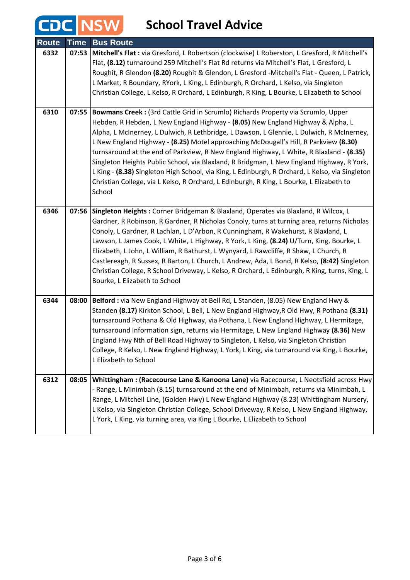CDC NSW

| <b>Route</b> | <b>Time</b> | <b>Bus Route</b>                                                                                                                                                                                                                                                                                                                                                                                                                                                                                                                                                                                                                                                                                                                                           |
|--------------|-------------|------------------------------------------------------------------------------------------------------------------------------------------------------------------------------------------------------------------------------------------------------------------------------------------------------------------------------------------------------------------------------------------------------------------------------------------------------------------------------------------------------------------------------------------------------------------------------------------------------------------------------------------------------------------------------------------------------------------------------------------------------------|
| 6332         | 07:53       | Mitchell's Flat : via Gresford, L Robertson (clockwise) L Roberston, L Gresford, R Mitchell's<br>Flat, (8.12) turnaround 259 Mitchell's Flat Rd returns via Mitchell's Flat, L Gresford, L<br>Roughit, R Glendon (8.20) Roughit & Glendon, L Gresford -Mitchell's Flat - Queen, L Patrick,<br>L Market, R Boundary, RYork, L King, L Edinburgh, R Orchard, L Kelso, via Singleton<br>Christian College, L Kelso, R Orchard, L Edinburgh, R King, L Bourke, L Elizabeth to School                                                                                                                                                                                                                                                                           |
| 6310         | 07:55       | Bowmans Creek : (3rd Cattle Grid in Scrumlo) Richards Property via Scrumlo, Upper<br>Hebden, R Hebden, L New England Highway - (8.05) New England Highway & Alpha, L<br>Alpha, L McInerney, L Dulwich, R Lethbridge, L Dawson, L Glennie, L Dulwich, R McInerney,<br>L New England Highway - (8.25) Motel approaching McDougall's Hill, R Parkview (8.30)<br>turnsaround at the end of Parkview, R New England Highway, L White, R Blaxland - (8.35)<br>Singleton Heights Public School, via Blaxland, R Bridgman, L New England Highway, R York,<br>L King - (8.38) Singleton High School, via King, L Edinburgh, R Orchard, L Kelso, via Singleton<br>Christian College, via L Kelso, R Orchard, L Edinburgh, R King, L Bourke, L Elizabeth to<br>School |
| 6346         |             | 07:56 Singleton Heights: Corner Bridgeman & Blaxland, Operates via Blaxland, R Wilcox, L<br>Gardner, R Robinson, R Gardner, R Nicholas Conoly, turns at turning area, returns Nicholas<br>Conoly, L Gardner, R Lachlan, L D'Arbon, R Cunningham, R Wakehurst, R Blaxland, L<br>Lawson, L James Cook, L White, L Highway, R York, L King, (8.24) U/Turn, King, Bourke, L<br>Elizabeth, L John, L William, R Bathurst, L Wynyard, L Rawcliffe, R Shaw, L Church, R<br>Castlereagh, R Sussex, R Barton, L Church, L Andrew, Ada, L Bond, R Kelso, (8:42) Singleton<br>Christian College, R School Driveway, L Kelso, R Orchard, L Edinburgh, R King, turns, King, L<br>Bourke, L Elizabeth to School                                                          |
| 6344         | 08:00       | Belford : via New England Highway at Bell Rd, L Standen, (8.05) New England Hwy &<br>Standen (8.17) Kirkton School, L Bell, L New England Highway, R Old Hwy, R Pothana (8.31)<br>turnsaround Pothana & Old Highway, via Pothana, L New England Highway, L Hermitage,<br>turnsaround Information sign, returns via Hermitage, L New England Highway (8.36) New<br>England Hwy Nth of Bell Road Highway to Singleton, L Kelso, via Singleton Christian<br>College, R Kelso, L New England Highway, L York, L King, via turnaround via King, L Bourke,<br>L Elizabeth to School                                                                                                                                                                              |
| 6312         | 08:05       | Whittingham: (Racecourse Lane & Kanoona Lane) via Racecourse, L Neotsfield across Hwy<br>- Range, L Minimbah (8.15) turnsaround at the end of Minimbah, returns via Minimbah, L<br>Range, L Mitchell Line, (Golden Hwy) L New England Highway (8.23) Whittingham Nursery,<br>L Kelso, via Singleton Christian College, School Driveway, R Kelso, L New England Highway,<br>L York, L King, via turning area, via King L Bourke, L Elizabeth to School                                                                                                                                                                                                                                                                                                      |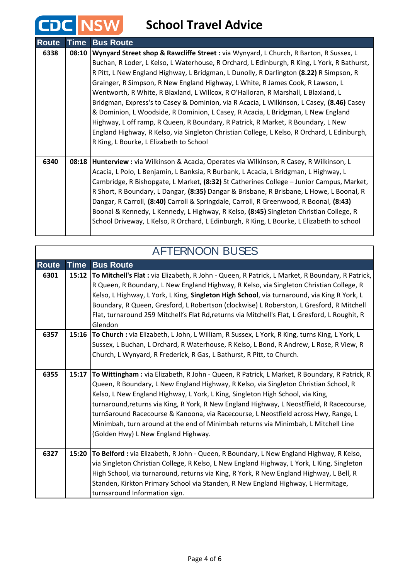## **CDC** NSW School Travel Advice

| <b>Route</b> | <b>Time</b> | <b>Bus Route</b>                                                                             |
|--------------|-------------|----------------------------------------------------------------------------------------------|
| 6338         | 08:10       | Wynyard Street shop & Rawcliffe Street : via Wynyard, L Church, R Barton, R Sussex, L        |
|              |             | Buchan, R Loder, L Kelso, L Waterhouse, R Orchard, L Edinburgh, R King, L York, R Bathurst,  |
|              |             | R Pitt, L New England Highway, L Bridgman, L Dunolly, R Darlington (8.22) R Simpson, R       |
|              |             | Grainger, R Simpson, R New England Highway, L White, R James Cook, R Lawson, L               |
|              |             | Wentworth, R White, R Blaxland, L Willcox, R O'Halloran, R Marshall, L Blaxland, L           |
|              |             | Bridgman, Express's to Casey & Dominion, via R Acacia, L Wilkinson, L Casey, (8.46) Casey    |
|              |             | & Dominion, L Woodside, R Dominion, L Casey, R Acacia, L Bridgman, L New England             |
|              |             | Highway, L off ramp, R Queen, R Boundary, R Patrick, R Market, R Boundary, L New             |
|              |             | England Highway, R Kelso, via Singleton Christian College, L Kelso, R Orchard, L Edinburgh,  |
|              |             | R King, L Bourke, L Elizabeth to School                                                      |
|              |             |                                                                                              |
| 6340         |             | 08:18   Hunterview : via Wilkinson & Acacia, Operates via Wilkinson, R Casey, R Wilkinson, L |
|              |             | Acacia, L Polo, L Benjamin, L Banksia, R Burbank, L Acacia, L Bridgman, L Highway, L         |
|              |             | Cambridge, R Bishopgate, L Market, (8:32) St Catherines College - Junior Campus, Market,     |
|              |             | R Short, R Boundary, L Dangar, (8:35) Dangar & Brisbane, R Brisbane, L Howe, L Boonal, R     |
|              |             | Dangar, R Carroll, (8:40) Carroll & Springdale, Carroll, R Greenwood, R Boonal, (8:43)       |
|              |             | Boonal & Kennedy, L Kennedy, L Highway, R Kelso, (8:45) Singleton Christian College, R       |
|              |             | School Driveway, L Kelso, R Orchard, L Edinburgh, R King, L Bourke, L Elizabeth to school    |
|              |             |                                                                                              |

| <b>AFTERNOON BUSES</b> |             |                                                                                                                                                                        |
|------------------------|-------------|------------------------------------------------------------------------------------------------------------------------------------------------------------------------|
| <b>Route</b>           | <b>Time</b> | <b>Bus Route</b>                                                                                                                                                       |
| 6301                   | 15:12       | To Mitchell's Flat : via Elizabeth, R John - Queen, R Patrick, L Market, R Boundary, R Patrick,                                                                        |
|                        |             | R Queen, R Boundary, L New England Highway, R Kelso, via Singleton Christian College, R                                                                                |
|                        |             | Kelso, L Highway, L York, L King, Singleton High School, via turnaround, via King R York, L                                                                            |
|                        |             | Boundary, R Queen, Gresford, L Robertson (clockwise) L Roberston, L Gresford, R Mitchell                                                                               |
|                        |             | Flat, turnaround 259 Mitchell's Flat Rd, returns via Mitchell's Flat, L Gresford, L Roughit, R<br>Glendon                                                              |
| 6357                   |             | 15:16 To Church : via Elizabeth, L John, L William, R Sussex, L York, R King, turns King, L York, L                                                                    |
|                        |             | Sussex, L Buchan, L Orchard, R Waterhouse, R Kelso, L Bond, R Andrew, L Rose, R View, R                                                                                |
|                        |             | Church, L Wynyard, R Frederick, R Gas, L Bathurst, R Pitt, to Church.                                                                                                  |
|                        |             |                                                                                                                                                                        |
| 6355                   | 15:17       | To Wittingham : via Elizabeth, R John - Queen, R Patrick, L Market, R Boundary, R Patrick, R                                                                           |
|                        |             | Queen, R Boundary, L New England Highway, R Kelso, via Singleton Christian School, R<br>Kelso, L New England Highway, L York, L King, Singleton High School, via King, |
|                        |             | turnaround, returns via King, R York, R New England Highway, L Neostffield, R Racecourse,                                                                              |
|                        |             | turnSaround Racecourse & Kanoona, via Racecourse, L Neostfield across Hwy, Range, L                                                                                    |
|                        |             | Minimbah, turn around at the end of Minimbah returns via Minimbah, L Mitchell Line                                                                                     |
|                        |             | (Golden Hwy) L New England Highway.                                                                                                                                    |
|                        |             |                                                                                                                                                                        |
| 6327                   | 15:20       | To Belford : via Elizabeth, R John - Queen, R Boundary, L New England Highway, R Kelso,                                                                                |
|                        |             | via Singleton Christian College, R Kelso, L New England Highway, L York, L King, Singleton                                                                             |
|                        |             | High School, via turnaround, returns via King, R York, R New England Highway, L Bell, R                                                                                |
|                        |             | Standen, Kirkton Primary School via Standen, R New England Highway, L Hermitage,                                                                                       |
|                        |             | turnsaround Information sign.                                                                                                                                          |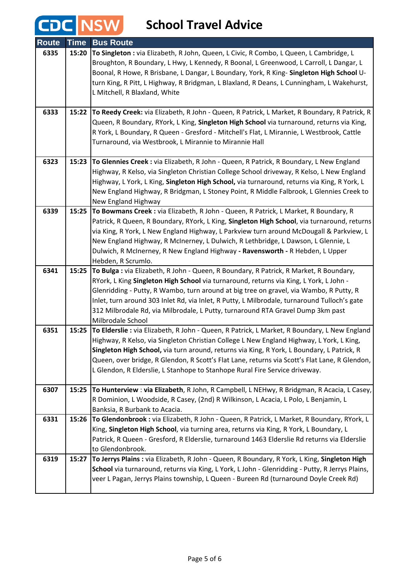CDC NSW

| <b>Route</b> | <b>Time</b> | <b>Bus Route</b>                                                                                                                                                                |
|--------------|-------------|---------------------------------------------------------------------------------------------------------------------------------------------------------------------------------|
| 6335         | 15:20       | To Singleton : via Elizabeth, R John, Queen, L Civic, R Combo, L Queen, L Cambridge, L                                                                                          |
|              |             | Broughton, R Boundary, L Hwy, L Kennedy, R Boonal, L Greenwood, L Carroll, L Dangar, L                                                                                          |
|              |             | Boonal, R Howe, R Brisbane, L Dangar, L Boundary, York, R King- Singleton High School U-                                                                                        |
|              |             | turn King, R Pitt, L Highway, R Bridgman, L Blaxland, R Deans, L Cunningham, L Wakehurst,                                                                                       |
|              |             | L Mitchell, R Blaxland, White                                                                                                                                                   |
|              |             |                                                                                                                                                                                 |
| 6333         | 15:22       | To Reedy Creek: via Elizabeth, R John - Queen, R Patrick, L Market, R Boundary, R Patrick, R                                                                                    |
|              |             | Queen, R Boundary, RYork, L King, Singleton High School via turnaround, returns via King,                                                                                       |
|              |             | R York, L Boundary, R Queen - Gresford - Mitchell's Flat, L Mirannie, L Westbrook, Cattle                                                                                       |
|              |             | Turnaround, via Westbrook, L Mirannie to Mirannie Hall                                                                                                                          |
| 6323         | 15:23       | To Glennies Creek : via Elizabeth, R John - Queen, R Patrick, R Boundary, L New England                                                                                         |
|              |             | Highway, R Kelso, via Singleton Christian College School driveway, R Kelso, L New England                                                                                       |
|              |             | Highway, L York, L King, Singleton High School, via turnaround, returns via King, R York, L                                                                                     |
|              |             | New England Highway, R Bridgman, L Stoney Point, R Middle Falbrook, L Glennies Creek to                                                                                         |
|              |             | New England Highway                                                                                                                                                             |
| 6339         |             | 15:25 To Bowmans Creek : via Elizabeth, R John - Queen, R Patrick, L Market, R Boundary, R                                                                                      |
|              |             | Patrick, R Queen, R Boundary, RYork, L King, Singleton High School, via turnaround, returns                                                                                     |
|              |             | via King, R York, L New England Highway, L Parkview turn around McDougall & Parkview, L                                                                                         |
|              |             | New England Highway, R McInerney, L Dulwich, R Lethbridge, L Dawson, L Glennie, L                                                                                               |
|              |             | Dulwich, R McInerney, R New England Highway - Ravensworth - R Hebden, L Upper                                                                                                   |
|              |             | Hebden, R Scrumlo.                                                                                                                                                              |
| 6341         | 15:25       | To Bulga : via Elizabeth, R John - Queen, R Boundary, R Patrick, R Market, R Boundary,                                                                                          |
|              |             | RYork, L King Singleton High School via turnaround, returns via King, L York, L John -                                                                                          |
|              |             | Glenridding - Putty, R Wambo, turn around at big tree on gravel, via Wambo, R Putty, R                                                                                          |
|              |             | Inlet, turn around 303 Inlet Rd, via Inlet, R Putty, L Milbrodale, turnaround Tulloch's gate<br>312 Milbrodale Rd, via Milbrodale, L Putty, turnaround RTA Gravel Dump 3km past |
|              |             | Milbrodale School                                                                                                                                                               |
| 6351         | 15:25       | To Elderslie : via Elizabeth, R John - Queen, R Patrick, L Market, R Boundary, L New England                                                                                    |
|              |             | Highway, R Kelso, via Singleton Christian College L New England Highway, L York, L King,                                                                                        |
|              |             | Singleton High School, via turn around, returns via King, R York, L Boundary, L Patrick, R                                                                                      |
|              |             | Queen, over bridge, R Glendon, R Scott's Flat Lane, returns via Scott's Flat Lane, R Glendon,                                                                                   |
|              |             | L Glendon, R Elderslie, L Stanhope to Stanhope Rural Fire Service driveway.                                                                                                     |
|              |             |                                                                                                                                                                                 |
| 6307         |             | 15:25 To Hunterview : via Elizabeth, R John, R Campbell, L NEHwy, R Bridgman, R Acacia, L Casey,                                                                                |
|              |             | R Dominion, L Woodside, R Casey, (2nd) R Wilkinson, L Acacia, L Polo, L Benjamin, L                                                                                             |
|              |             | Banksia, R Burbank to Acacia.                                                                                                                                                   |
| 6331         | 15:26       | To Glendonbrook : via Elizabeth, R John - Queen, R Patrick, L Market, R Boundary, RYork, L                                                                                      |
|              |             | King, Singleton High School, via turning area, returns via King, R York, L Boundary, L                                                                                          |
|              |             | Patrick, R Queen - Gresford, R Elderslie, turnaround 1463 Elderslie Rd returns via Elderslie                                                                                    |
|              |             | to Glendonbrook.                                                                                                                                                                |
| 6319         | 15:27       | To Jerrys Plains : via Elizabeth, R John - Queen, R Boundary, R York, L King, Singleton High                                                                                    |
|              |             | School via turnaround, returns via King, L York, L John - Glenridding - Putty, R Jerrys Plains,                                                                                 |
|              |             | veer L Pagan, Jerrys Plains township, L Queen - Bureen Rd (turnaround Doyle Creek Rd)                                                                                           |
|              |             |                                                                                                                                                                                 |